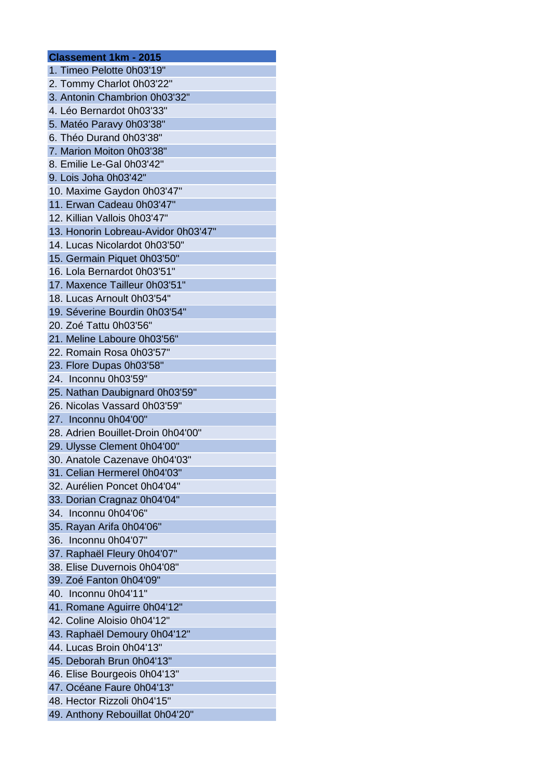| <b>Classement 1km - 2015</b>                              |
|-----------------------------------------------------------|
| 1. Timeo Pelotte 0h03'19"                                 |
| 2. Tommy Charlot 0h03'22"                                 |
| 3. Antonin Chambrion 0h03'32"                             |
| 4. Léo Bernardot 0h03'33"                                 |
| 5. Matéo Paravy 0h03'38"                                  |
| 6. Théo Durand 0h03'38"                                   |
| 7. Marion Moiton 0h03'38"                                 |
| 8. Emilie Le-Gal 0h03'42"                                 |
| 9. Lois Joha 0h03'42"                                     |
| 10. Maxime Gaydon 0h03'47"                                |
| 11. Erwan Cadeau 0h03'47"                                 |
| 12. Killian Vallois 0h03'47"                              |
| 13. Honorin Lobreau-Avidor 0h03'47"                       |
| 14. Lucas Nicolardot 0h03'50"                             |
| 15. Germain Piquet 0h03'50"                               |
| 16. Lola Bernardot 0h03'51"                               |
| 17. Maxence Tailleur 0h03'51"                             |
| 18. Lucas Arnoult 0h03'54"                                |
| 19. Séverine Bourdin 0h03'54"                             |
| 20. Zoé Tattu 0h03'56"                                    |
| 21. Meline Laboure 0h03'56"                               |
| 22. Romain Rosa 0h03'57"                                  |
| 23. Flore Dupas 0h03'58"                                  |
| 24. Inconnu 0h03'59"                                      |
| 25. Nathan Daubignard 0h03'59"                            |
| 26. Nicolas Vassard 0h03'59"                              |
| 27. Inconnu 0h04'00"                                      |
| 28. Adrien Bouillet-Droin 0h04'00"                        |
| 29. Ulysse Clement 0h04'00"                               |
| 30. Anatole Cazenave 0h04'03"                             |
| 31. Celian Hermerel 0h04'03"                              |
| 32. Aurélien Poncet 0h04'04"                              |
| 33. Dorian Cragnaz 0h04'04"                               |
| 34. Inconnu 0h04'06"                                      |
| 35. Rayan Arifa 0h04'06"                                  |
| 36. Inconnu 0h04'07"                                      |
| 37. Raphaël Fleury 0h04'07"                               |
| 38. Elise Duvernois 0h04'08"                              |
| 39. Zoé Fanton 0h04'09"                                   |
| 40. Inconnu 0h04'11"                                      |
| 41. Romane Aguirre 0h04'12"                               |
| 42. Coline Aloisio 0h04'12"                               |
| 43. Raphaël Demoury 0h04'12"                              |
| 44. Lucas Broin 0h04'13"                                  |
| 45. Deborah Brun 0h04'13"                                 |
|                                                           |
| 46. Elise Bourgeois 0h04'13"<br>47. Océane Faure 0h04'13" |
| 48. Hector Rizzoli 0h04'15"                               |
|                                                           |
| 49. Anthony Rebouillat 0h04'20"                           |